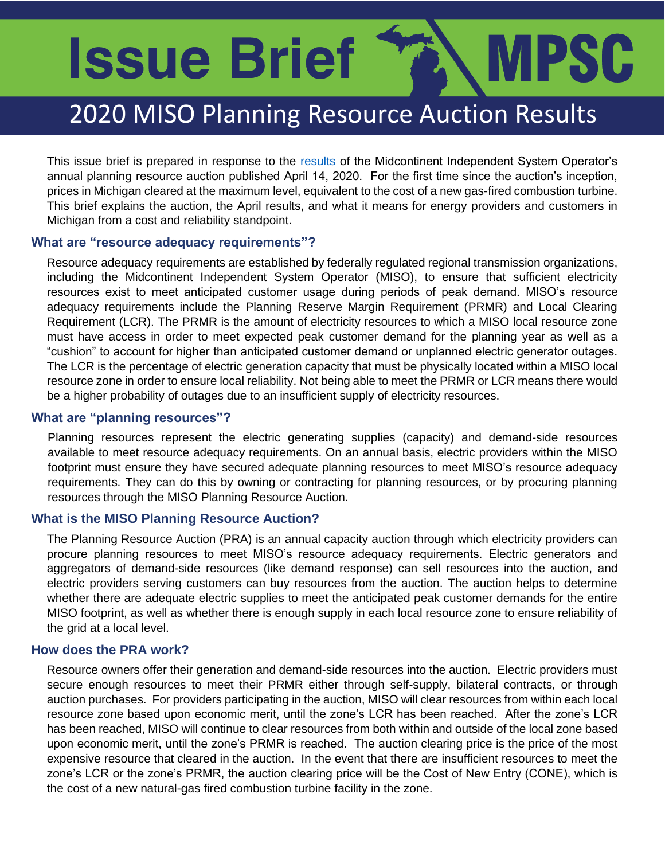# **Issue Brief** MPSC

# 2020 MISO Plannin[g Res](https://cdn.misoenergy.org/2020-2021%20PRA%20Results442333.pdf)ource Auction Results

This issue brief is prepared in response to the results of the Midcontinent Independent System Operator's annual planning resource auction published April 14, 2020. For the first time since the auction's inception, prices in Michigan cleared at the maximum level, equivalent to the cost of a new gas-fired combustion turbine. This brief explains the auction, the April results, and what it means for energy providers and customers in Michigan from a cost and reliability standpoint.

#### **What are "resource adequacy requirements"?**

Resource adequacy requirements are established by federally regulated regional transmission organizations, including the Midcontinent Independent System Operator (MISO), to ensure that sufficient electricity resources exist to meet anticipated customer usage during periods of peak demand. MISO's resource adequacy requirements include the Planning Reserve Margin Requirement (PRMR) and Local Clearing Requirement (LCR). The PRMR is the amount of electricity resources to which a MISO local resource zone must have access in order to meet expected peak customer demand for the planning year as well as a "cushion" to account for higher than anticipated customer demand or unplanned electric generator outages. The LCR is the percentage of electric generation capacity that must be physically located within a MISO local resource zone in order to ensure local reliability. Not being able to meet the PRMR or LCR means there would be a higher probability of outages due to an insufficient supply of electricity resources.

#### **What are "planning resources"?**

Planning resources represent the electric generating supplies (capacity) and demand-side resources available to meet resource adequacy requirements. On an annual basis, electric providers within the MISO footprint must ensure they have secured adequate planning resources to meet MISO's resource adequacy requirements. They can do this by owning or contracting for planning resources, or by procuring planning resources through the MISO Planning Resource Auction.

### **What is the MISO Planning Resource Auction?**

The Planning Resource Auction (PRA) is an annual capacity auction through which electricity providers can procure planning resources to meet MISO's resource adequacy requirements. Electric generators and aggregators of demand-side resources (like demand response) can sell resources into the auction, and electric providers serving customers can buy resources from the auction. The auction helps to determine whether there are adequate electric supplies to meet the anticipated peak customer demands for the entire MISO footprint, as well as whether there is enough supply in each local resource zone to ensure reliability of the grid at a local level.

#### **How does the PRA work?**

Resource owners offer their generation and demand-side resources into the auction. Electric providers must secure enough resources to meet their PRMR either through self-supply, bilateral contracts, or through auction purchases. For providers participating in the auction, MISO will clear resources from within each local resource zone based upon economic merit, until the zone's LCR has been reached. After the zone's LCR has been reached, MISO will continue to clear resources from both within and outside of the local zone based upon economic merit, until the zone's PRMR is reached. The auction clearing price is the price of the most expensive resource that cleared in the auction. In the event that there are insufficient resources to meet the zone's LCR or the zone's PRMR, the auction clearing price will be the Cost of New Entry (CONE), which is the cost of a new natural-gas fired combustion turbine facility in the zone.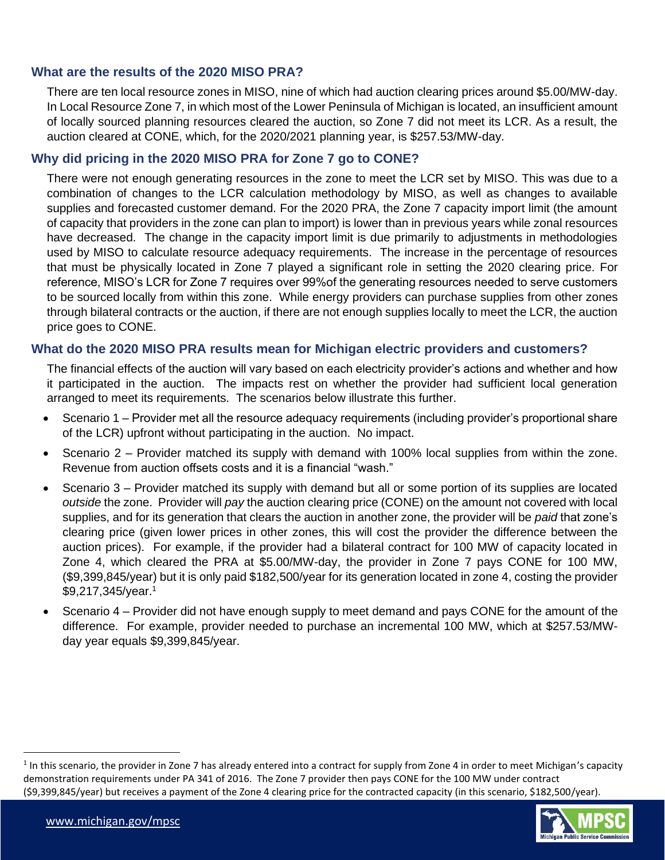### **What are the results of the 2020 MISO PRA?**

In Local Resource Zone 7, in which most of the Lower Peninsula of Michigan is located, an insufficient amount<br>of locally sourced planning resources cleared the auction, so Zone 7 did not meet its LCR. As a result, the There are ten local resource zones in MISO, nine of which had auction clearing prices around \$5.00/MW-day. In Local Resource Zone 7, in which most of the Lower Peninsula of Michigan is located, an insufficient amount auction cleared at CONE, which, for the 2020/2021 planning year, is \$257.53/MW-day.

# **Why did pricing in the 2020 MISO PRA for Zone 7 go to CONE?**

There were not enough generating resources in the zone to meet the LCR set by MISO. This was due to a combination of changes to the LCR calculation methodology by MISO, as well as changes to available supplies and forecasted customer demand. For the 2020 PRA, the Zone 7 capacity import limit (the amount of capacity that providers in the zone can plan to import) is lower than in previous years while zonal resources have decreased. The change in the capacity import limit is due primarily to adjustments in methodologies used by MISO to calculate resource adequacy requirements. The increase in the percentage of resources that must be physically located in Zone 7 played a significant role in setting the 2020 clearing price. For reference, MISO's LCR for Zone 7 requires over 99%of the generating resources needed to serve customers to be sourced locally from within this zone. While energy providers can purchase supplies from other zones through bilateral contracts or the auction, if there are not enough supplies locally to meet the LCR, the auction price goes to CONE.

### **What do the 2020 MISO PRA results mean for Michigan electric providers and customers?**

The financial effects of the auction will vary based on each electricity provider's actions and whether and how it participated in the auction. The impacts rest on whether the provider had sufficient local generation arranged to meet its requirements. The scenarios below illustrate this further.

- Scenario 1 Provider met all the resource adequacy requirements (including provider's proportional share of the LCR) upfront without participating in the auction. No impact.
- Scenario 2 Provider matched its supply with demand with 100% local supplies from within the zone. Revenue from auction offsets costs and it is a financial "wash."
- Scenario 3 Provider matched its supply with demand but all or some portion of its supplies are located *outside* the zone. Provider will *pay* the auction clearing price (CONE) on the amount not covered with local supplies, and for its generation that clears the auction in another zone, the provider will be *paid* that zone's clearing price (given lower prices in other zones, this will cost the provider the difference between the auction prices). For example, if the provider had a bilateral contract for 100 MW of capacity located in Zone 4, which cleared the PRA at \$5.00/MW-day, the provider in Zone 7 pays CONE for 100 MW, (\$9,399,845/year) but it is only paid \$182,500/year for its generation located in zone 4, costing the provider \$9,217,345/year.<sup>1</sup>
- Scenario 4 Provider did not have enough supply to meet demand and pays CONE for the amount of the difference. For example, provider needed to purchase an incremental 100 MW, which at \$257.53/MWday year equals \$9,399,845/year.

<sup>1</sup> In this scenario, the provider in Zone 7 has already entered into a contract for supply from Zone 4 in order to meet Michigan's capacity demonstration requirements under PA 341 of 2016. The Zone 7 provider then pays CONE for the 100 MW under contract (\$9,399,845/year) but receives a payment of the Zone 4 clearing price for the contracted capacity (in this scenario, \$182,500/year).

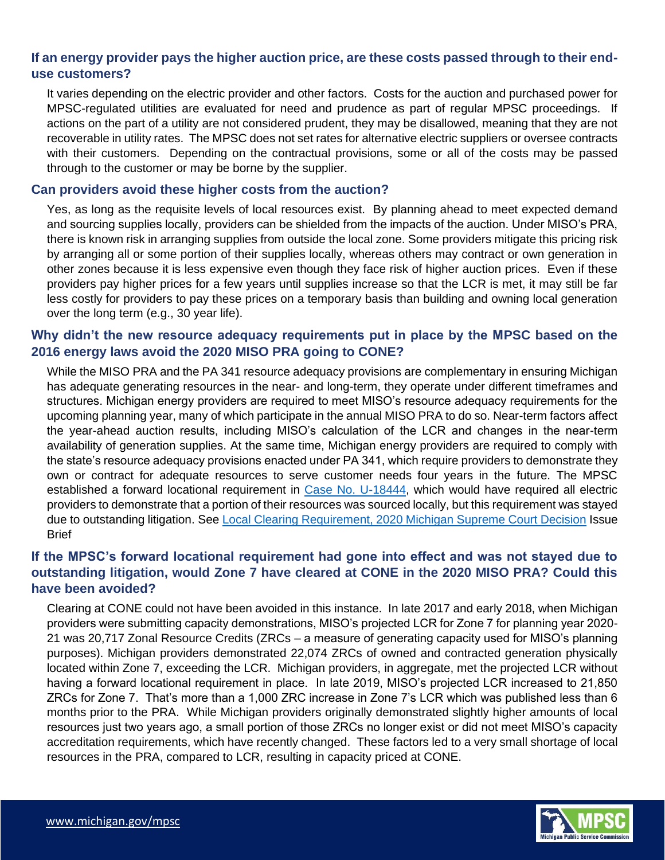# **If an energy provider pays the higher auction price, are these costs passed through to their enduse customers?**

MPSC-regulated utilities are evaluated for need and prudence as part of regular MPSC proceedings. If<br>actions on the part of a utility are not considered prudent, they may be disallowed, meaning that they are not It varies depending on the electric provider and other factors. Costs for the auction and purchased power for MPSC-regulated utilities are evaluated for need and prudence as part of regular MPSC proceedings. If recoverable in utility rates. The MPSC does not set rates for alternative electric suppliers or oversee contracts with their customers. Depending on the contractual provisions, some or all of the costs may be passed through to the customer or may be borne by the supplier.

#### **Can providers avoid these higher costs from the auction?**

Yes, as long as the requisite levels of local resources exist. By planning ahead to meet expected demand and sourcing supplies locally, providers can be shielded from the impacts of the auction. Under MISO's PRA, there is known risk in arranging supplies from outside the local zone. Some providers mitigate this pricing risk by arranging all or some portion of their supplies locally, whereas others may contract or own generation in other zones because it is less expensive even though they face risk of higher auction prices. Even if these providers pay higher prices for a few years until supplies increase so that the LCR is met, it may still be far less costly for providers to pay these prices on a temporary basis than building and owning local generation over the long term (e.g., 30 year life).

# **Why didn't the new resource adequacy requirements put in place by the MPSC based on the 2016 energy laws avoid the 2020 MISO PRA going to CONE?**

While the MISO PRA and the PA 341 resource adequacy provisions are complementary in ensuring Michigan has adequate generating resources in the near- and long-term, they operate under different timeframes and structures. Michigan energy providers are required to meet MISO's resource adequacy requirements for the upcoming planning year, many of which participate in the annual MISO PRA to do so. Near-term factors affect the year-ahead auction results, including MISO's calculation of the LCR and changes in the near-term availability of generation supplies. At the same time, Michigan energy providers are required to comply with the state's resource adequacy provisions enacted under PA 341, which require providers to demonstrate they own or contract for adequate resources to serve customer needs four years in the future. The MPSC established a forward locational requirement in [Case No. U-18444,](https://mi-psc.force.com/s/case/500t0000008eg3zAAA/in-the-matter-on-the-commissions-own-motion-to-open-a-contested-case-proceeding-for-determining-the-process-and-requirements-for-a-forward-locational-requirement-under-mcl-4606w) which would have required all electric providers to demonstrate that a portion of their resources was sourced locally, but this requirement was stayed due to outstanding litigation. See [Local Clearing Requirement, 2020](https://www.michigan.gov/documents/mpsc/LCR_SC_Ruling_Issue_Brief_687462_7.pdf) Michigan Supreme Court Decision Issue Brief

# **If the MPSC's forward locational requirement had gone into effect and was not stayed due to outstanding litigation, would Zone 7 have cleared at CONE in the 2020 MISO PRA? Could this have been avoided?**

Clearing at CONE could not have been avoided in this instance. In late 2017 and early 2018, when Michigan providers were submitting capacity demonstrations, MISO's projected LCR for Zone 7 for planning year 2020- 21 was 20,717 Zonal Resource Credits (ZRCs – a measure of generating capacity used for MISO's planning purposes). Michigan providers demonstrated 22,074 ZRCs of owned and contracted generation physically located within Zone 7, exceeding the LCR. Michigan providers, in aggregate, met the projected LCR without having a forward locational requirement in place. In late 2019, MISO's projected LCR increased to 21,850 ZRCs for Zone 7. That's more than a 1,000 ZRC increase in Zone 7's LCR which was published less than 6 months prior to the PRA. While Michigan providers originally demonstrated slightly higher amounts of local resources just two years ago, a small portion of those ZRCs no longer exist or did not meet MISO's capacity accreditation requirements, which have recently changed. These factors led to a very small shortage of local resources in the PRA, compared to LCR, resulting in capacity priced at CONE.